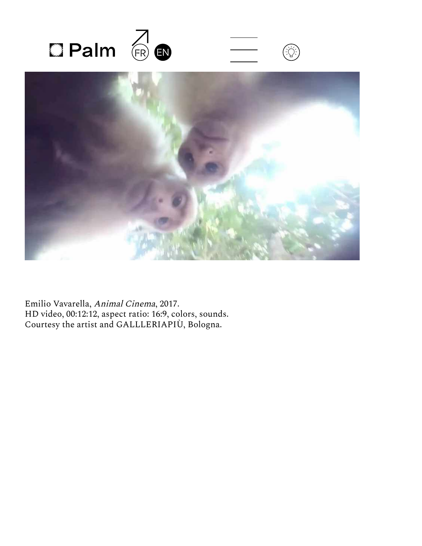



Emilio Vavarella, Animal Cinema, 2017. HD video, 00:12:12, aspect ratio: 16:9, colors, sounds. Courtesy the artist and GALLLERIAPIÙ, Bologna.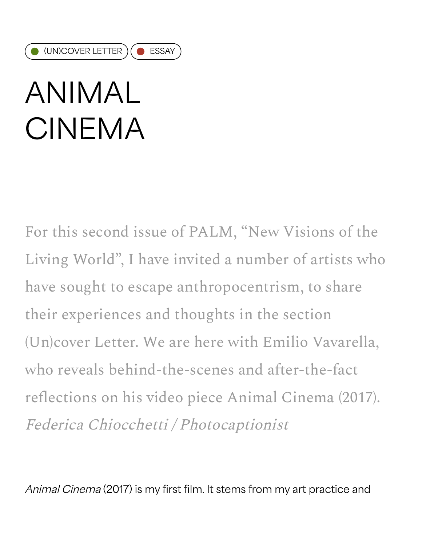# ANIMAL CINEMA

For this second issue of PALM, "New Visions of the Living World", I have invited a number of artists who have sought to escape anthropocentrism, to share their experiences and thoughts in the section (Un)cover Letter. We are here with Emilio Vavarella, who reveals behind-the-scenes and after-the-fact reflections on his video piece Animal Cinema (2017). Federica Chiocchetti / Photocaptionist

Animal Cinema (2017) is my first film. It stems from my art practice and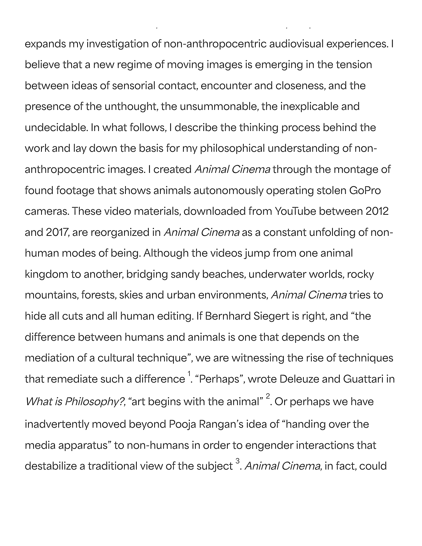expands my investigation of non-anthropocentric audiovisual experiences. I believe that a new regime of moving images is emerging in the tension between ideas of sensorial contact, encounter and closeness, and the presence of the unthought, the unsummonable, the inexplicable and undecidable. In what follows, I describe the thinking process behind the work and lay down the basis for my philosophical understanding of nonanthropocentric images. I created Animal Cinema through the montage of found footage that shows animals autonomously operating stolen GoPro cameras. These video materials, downloaded from YouTube between 2012 and 2017, are reorganized in Animal Cinema as a constant unfolding of nonhuman modes of being. Although the videos jump from one animal kingdom to another, bridging sandy beaches, underwater worlds, rocky mountains, forests, skies and urban environments, Animal Cinema tries to hide all cuts and all human editing. If Bernhard Siegert is right, and "the difference between humans and animals is one that depends on the mediation of a cultural technique", we are witnessing the rise of techniques that remediate such a difference  $^{\rm 1}$  "Perhaps", wrote Deleuze and Guattari in What is Philosophy?, "art begins with the animal"  $2$ . Or perhaps we have inadvertently moved beyond Pooja Rangan's idea of "handing over the media apparatus" to non-humans in order to engender interactions that destabilize a traditional view of the subject <sup>3</sup>. *Animal Cinema,* in fact, could

Animal Cinema (2017) is my first film. It stems from my art practice and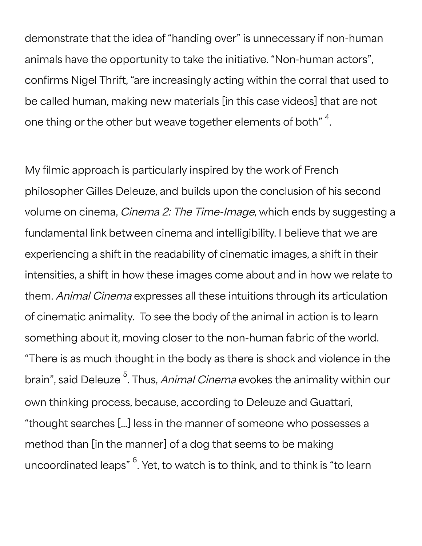demonstrate that the idea of "handing over" is unnecessary if non-human animals have the opportunity to take the initiative. "Non-human actors", confirms Nigel Thrift, "are increasingly acting within the corral that used to be called human, making new materials [in this case videos] that are not one thing or the other but weave together elements of both"  $^{\rm 4}.$ 

My filmic approach is particularly inspired by the work of French philosopher Gilles Deleuze, and builds upon the conclusion of his second volume on cinema, Cinema 2: The Time-Image, which ends by suggesting a fundamental link between cinema and intelligibility. I believe that we are experiencing a shift in the readability of cinematic images, a shift in their intensities, a shift in how these images come about and in how we relate to them. Animal Cinema expresses all these intuitions through its articulation of cinematic animality. To see the body of the animal in action is to learn something about it, moving closer to the non-human fabric of the world. "There is as much thought in the body as there is shock and violence in the brain", said Deleuze <sup>5</sup>. Thus, *Animal Cinema* evokes the animality within our own thinking process, because, according to Deleuze and Guattari, "thought searches […] less in the manner of someone who possesses a method than [in the manner] of a dog that seems to be making uncoordinated leaps"  $^6$ . Yet, to watch is to think, and to think is "to learn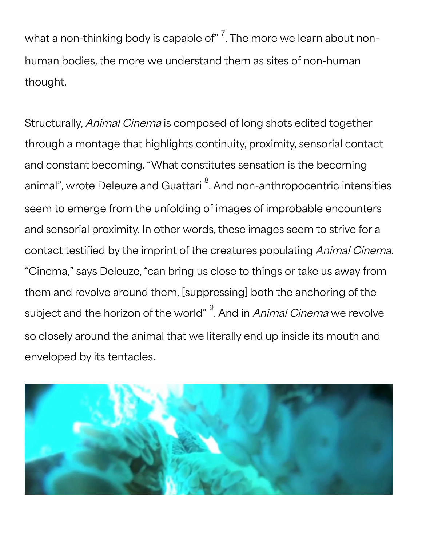what a non-thinking body is capable of"  $^{7}$ . The more we learn about nonhuman bodies, the more we understand them as sites of non-human thought.

Structurally, Animal Cinema is composed of long shots edited together through a montage that highlights continuity, proximity, sensorial contact and constant becoming. "What constitutes sensation is the becoming animal", wrote Deleuze and Guattari  $^8$ . And non-anthropocentric intensities seem to emerge from the unfolding of images of improbable encounters and sensorial proximity. In other words, these images seem to strive for a contact testified by the imprint of the creatures populating Animal Cinema. "Cinema," says Deleuze, "can bring us close to things or take us away from them and revolve around them, [suppressing] both the anchoring of the subject and the horizon of the world"  $^9$ . And in *Animal Cinema* we revolve so closely around the animal that we literally end up inside its mouth and enveloped by its tentacles.

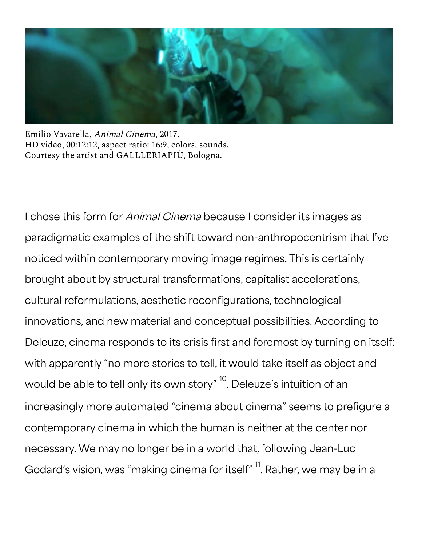

Emilio Vavarella, Animal Cinema, 2017. HD video, 00:12:12, aspect ratio: 16:9, colors, sounds. Courtesy the artist and GALLLERIAPIÙ, Bologna.

I chose this form for *Animal Cinema* because I consider its images as paradigmatic examples of the shift toward non-anthropocentrism that I've noticed within contemporary moving image regimes. This is certainly brought about by structural transformations, capitalist accelerations, cultural reformulations, aesthetic reconfigurations, technological innovations, and new material and conceptual possibilities. According to Deleuze, cinema responds to its crisis first and foremost by turning on itself: with apparently "no more stories to tell, it would take itself as object and would be able to tell only its own story"  $^{\rm 10}$ . Deleuze's intuition of an increasingly more automated "cinema about cinema" seems to prefigure a contemporary cinema in which the human is neither at the center nor necessary. We may no longer be in a world that, following Jean-Luc Godard's vision, was "making cinema for itself"  $^{\mathsf{11}}$ . Rather, we may be in a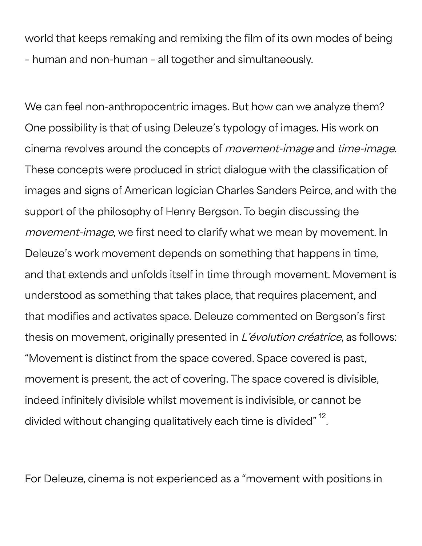world that keeps remaking and remixing the film of its own modes of being – human and non-human – all together and simultaneously.

We can feel non-anthropocentric images. But how can we analyze them? One possibility is that of using Deleuze's typology of images. His work on cinema revolves around the concepts of movement-image and time-image. These concepts were produced in strict dialogue with the classification of images and signs of American logician Charles Sanders Peirce, and with the support of the philosophy of Henry Bergson. To begin discussing the movement-image, we first need to clarify what we mean by movement. In Deleuze's work movement depends on something that happens in time, and that extends and unfolds itself in time through movement. Movement is understood as something that takes place, that requires placement, and that modifies and activates space. Deleuze commented on Bergson's first thesis on movement, originally presented in L'évolution créatrice, as follows: "Movement is distinct from the space covered. Space covered is past, movement is present, the act of covering. The space covered is divisible, indeed infinitely divisible whilst movement is indivisible, or cannot be divided without changing qualitatively each time is divided"  $^{\rm 12}$ .

For Deleuze, cinema is not experienced as a "movement with positions in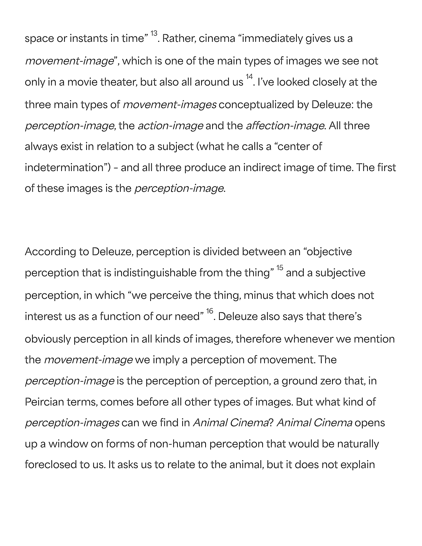space or instants in time"  $^{\rm 13}$ . Rather, cinema "immediately gives us a movement-image", which is one of the main types of images we see not only in a movie theater, but also all around us  $^{\mathsf{14}}$ . I've looked closely at the three main types of *movement-images* conceptualized by Deleuze: the perception-image, the action-image and the affection-image. All three always exist in relation to a subject (what he calls a "center of indetermination") – and all three produce an indirect image of time. The first of these images is the *perception-image*.

According to Deleuze, perception is divided between an "objective perception that is indistinguishable from the thing"  $^{\rm 15}$  and a subjective perception, in which "we perceive the thing, minus that which does not interest us as a function of our need"  $^{\rm 16}$ . Deleuze also says that there's obviously perception in all kinds of images, therefore whenever we mention the *movement-image* we imply a perception of movement. The perception-image is the perception of perception, a ground zero that, in Peircian terms, comes before all other types of images. But what kind of perception-images can we find in Animal Cinema? Animal Cinema opens up a window on forms of non-human perception that would be naturally foreclosed to us. It asks us to relate to the animal, but it does not explain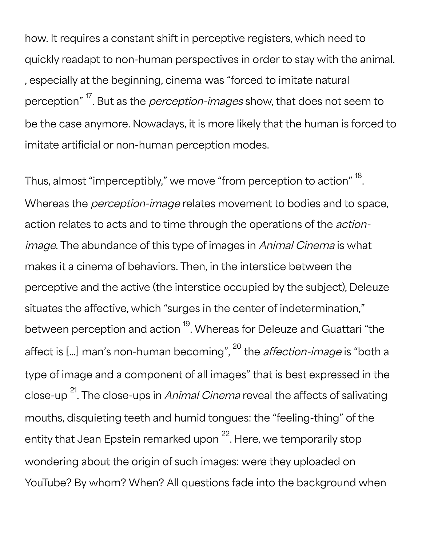how. It requires a constant shift in perceptive registers, which need to quickly readapt to non-human perspectives in order to stay with the animal. , especially at the beginning, cinema was "forced to imitate natural perception" <sup>17</sup>. But as the *perception-images* show, that does not seem to be the case anymore. Nowadays, it is more likely that the human is forced to imitate artificial or non-human perception modes.

Thus, almost "imperceptibly," we move "from perception to action"  $^{\rm 18}.$ Whereas the *perception-image* relates movement to bodies and to space, action relates to acts and to time through the operations of the actionimage. The abundance of this type of images in Animal Cinema is what makes it a cinema of behaviors. Then, in the interstice between the perceptive and the active (the interstice occupied by the subject), Deleuze situates the affective, which "surges in the center of indetermination," between perception and action <sup>19</sup>. Whereas for Deleuze and Guattari "the affect is [...] man's non-human becoming", <sup>20</sup> the *affection-image* is "both a type of image and a component of all images" that is best expressed in the close-up <sup>21</sup>. The close-ups in *Animal Cinema* reveal the affects of salivating mouths, disquieting teeth and humid tongues: the "feeling-thing" of the entity that Jean Epstein remarked upon <sup>22</sup>. Here, we temporarily stop wondering about the origin of such images: were they uploaded on YouTube? By whom? When? All questions fade into the background when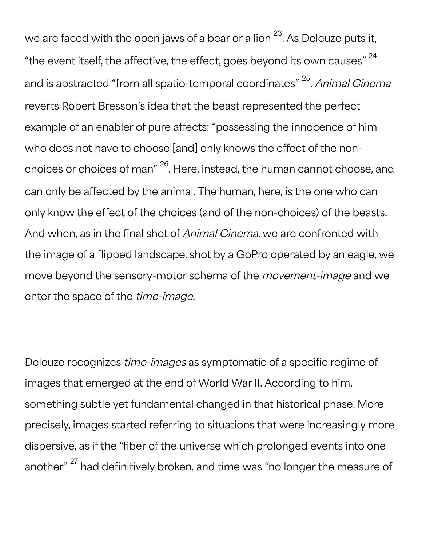we are faced with the open jaws of a bear or a lion  $^{23}$ . As Deleuze puts it, "the event itself, the affective, the effect, goes beyond its own causes"  $^{\rm 24}$ and is abstracted "from all spatio-temporal coordinates" <sup>25</sup>. *Animal Cinema* reverts Robert Bresson's idea that the beast represented the perfect example of an enabler of pure affects: "possessing the innocence of him who does not have to choose [and] only knows the effect of the nonchoices or choices of man" <sup>26</sup>. Here, instead, the human cannot choose, and can only be affected by the animal. The human, here, is the one who can only know the effect of the choices (and of the non-choices) of the beasts. And when, as in the final shot of Animal Cinema, we are confronted with the image of a flipped landscape, shot by a GoPro operated by an eagle, we move beyond the sensory-motor schema of the movement-image and we enter the space of the *time-image*.

Deleuze recognizes *time-images* as symptomatic of a specific regime of images that emerged at the end of World War II. According to him, something subtle yet fundamental changed in that historical phase. More precisely, images started referring to situations that were increasingly more dispersive, as if the "fiber of the universe which prolonged events into one another" <sup>27</sup> had definitively broken, and time was "no longer the measure of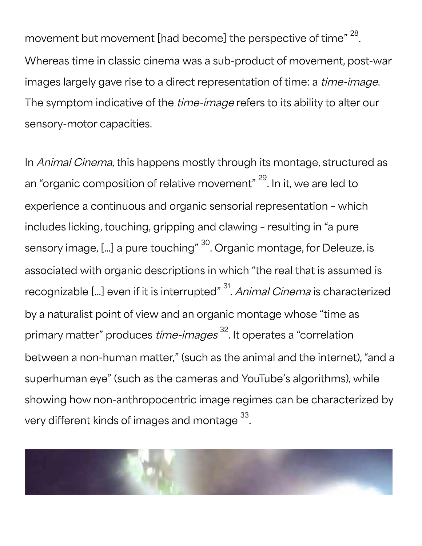movement but movement [had become] the perspective of time"  $^{\rm 28}.$ Whereas time in classic cinema was a sub-product of movement, post-war images largely gave rise to a direct representation of time: a time-image. The symptom indicative of the *time-image* refers to its ability to alter our sensory-motor capacities.

In Animal Cinema, this happens mostly through its montage, structured as an "organic composition of relative movement" <sup>29</sup>. In it, we are led to experience a continuous and organic sensorial representation – which includes licking, touching, gripping and clawing – resulting in "a pure sensory image, [...] a pure touching" <sup>30</sup>. Organic montage, for Deleuze, is associated with organic descriptions in which "the real that is assumed is recognizable [...] even if it is interrupted"  $^{\rm 31}$ . *Animal Cinema* is characterized by a naturalist point of view and an organic montage whose "time as primary matter" produces *time-images*  $^{32}$ . It operates a "correlation between a non-human matter," (such as the animal and the internet), "and a superhuman eye" (such as the cameras and YouTube's algorithms), while showing how non-anthropocentric image regimes can be characterized by very different kinds of images and montage  $^{\rm 33}$ .

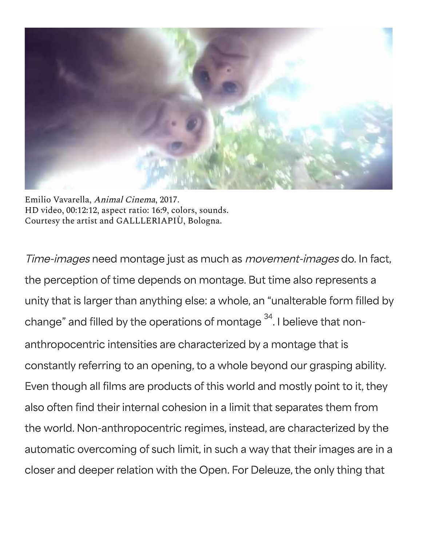

Emilio Vavarella, Animal Cinema, 2017. HD video, 00:12:12, aspect ratio: 16:9, colors, sounds. Courtesy the artist and GALLLERIAPIÙ, Bologna.

Time-images need montage just as much as movement-images do. In fact, the perception of time depends on montage. But time also represents a unity that is larger than anything else: a whole, an "unalterable form filled by change" and filled by the operations of montage  $^{\rm 34}.$  I believe that nonanthropocentric intensities are characterized by a montage that is constantly referring to an opening, to a whole beyond our grasping ability. Even though all films are products of this world and mostly point to it, they also often find their internal cohesion in a limit that separates them from the world. Non-anthropocentric regimes, instead, are characterized by the automatic overcoming of such limit, in such a way that their images are in a closer and deeper relation with the Open. For Deleuze, the only thing that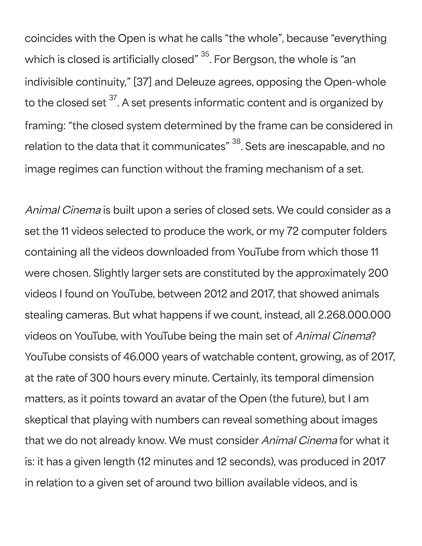coincides with the Open is what he calls "the whole", because "everything which is closed is artificially closed"  $^{\rm 35}$ . For Bergson, the whole is "an indivisible continuity," [37] and Deleuze agrees, opposing the Open-whole to the closed set  $^{\mathrm{37}}$ . A set presents informatic content and is organized by framing: "the closed system determined by the frame can be considered in relation to the data that it communicates"  $^{\rm 38}$ . Sets are inescapable, and no image regimes can function without the framing mechanism of a set.

Animal Cinema is built upon a series of closed sets. We could consider as a set the 11 videos selected to produce the work, or my 72 computer folders containing all the videos downloaded from YouTube from which those 11 were chosen. Slightly larger sets are constituted by the approximately 200 videos I found on YouTube, between 2012 and 2017, that showed animals stealing cameras. But what happens if we count, instead, all 2.268.000.000 videos on YouTube, with YouTube being the main set of Animal Cinema? YouTube consists of 46.000 years of watchable content, growing, as of 2017, at the rate of 300 hours every minute. Certainly, its temporal dimension matters, as it points toward an avatar of the Open (the future), but I am skeptical that playing with numbers can reveal something about images that we do not already know. We must consider Animal Cinema for what it is: it has a given length (12 minutes and 12 seconds), was produced in 2017 in relation to a given set of around two billion available videos, and is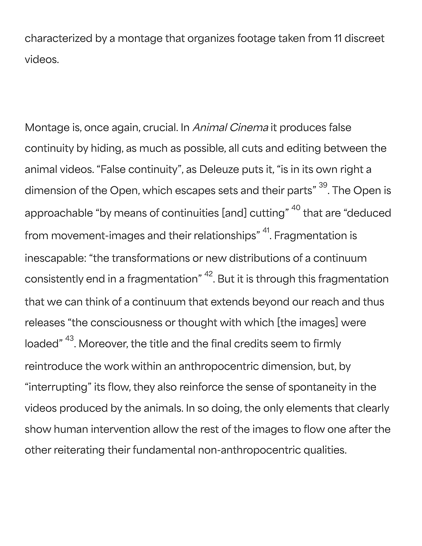characterized by a montage that organizes footage taken from 11 discreet videos.

Montage is, once again, crucial. In Animal Cinema it produces false continuity by hiding, as much as possible, all cuts and editing between the animal videos. "False continuity", as Deleuze puts it, "is in its own right a dimension of the Open, which escapes sets and their parts"  $^{\rm 39}$ . The Open is approachable "by means of continuities [and] cutting" <sup>40</sup> that are "deduced from movement-images and their relationships" <sup>41</sup>. Fragmentation is inescapable: "the transformations or new distributions of a continuum consistently end in a fragmentation"  $^\mathrm{42}$ . But it is through this fragmentation that we can think of a continuum that extends beyond our reach and thus releases "the consciousness or thought with which [the images] were loaded"  $^\mathrm{43}$ . Moreover, the title and the final credits seem to firmly reintroduce the work within an anthropocentric dimension, but, by "interrupting" its flow, they also reinforce the sense of spontaneity in the videos produced by the animals. In so doing, the only elements that clearly show human intervention allow the rest of the images to flow one after the other reiterating their fundamental non-anthropocentric qualities.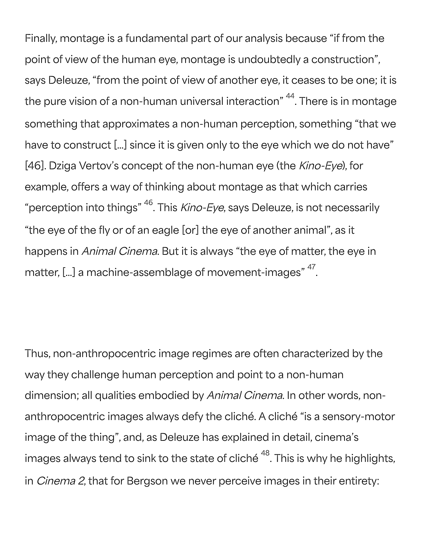Finally, montage is a fundamental part of our analysis because "if from the point of view of the human eye, montage is undoubtedly a construction", says Deleuze, "from the point of view of another eye, it ceases to be one; it is the pure vision of a non-human universal interaction"  $^\mathsf{44}$ . There is in montage something that approximates a non-human perception, something "that we have to construct […] since it is given only to the eye which we do not have" [46]. Dziga Vertov's concept of the non-human eye (the Kino-Eye), for example, offers a way of thinking about montage as that which carries "perception into things"  $^{46}$ . This *Kino-Eye,* says Deleuze, is not necessarily "the eye of the fly or of an eagle [or] the eye of another animal", as it happens in Animal Cinema. But it is always "the eye of matter, the eye in matter, [...] a machine-assemblage of movement-images"  $^{\rm 47}.$ 

Thus, non-anthropocentric image regimes are often characterized by the way they challenge human perception and point to a non-human dimension; all qualities embodied by Animal Cinema. In other words, nonanthropocentric images always defy the cliché. A cliché "is a sensory-motor image of the thing", and, as Deleuze has explained in detail, cinema's images always tend to sink to the state of cliché  $^{\rm 48}$ . This is why he highlights, in Cinema 2, that for Bergson we never perceive images in their entirety: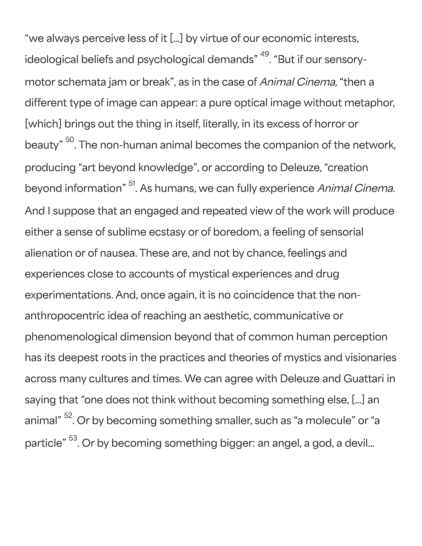"we always perceive less of it […] by virtue of our economic interests, ideological beliefs and psychological demands" <sup>49</sup>. "But if our sensorymotor schemata jam or break", as in the case of Animal Cinema, "then a different type of image can appear: a pure optical image without metaphor, [which] brings out the thing in itself, literally, in its excess of horror or beauty"  $^{\rm 50}$ . The non-human animal becomes the companion of the network, producing "art beyond knowledge", or according to Deleuze, "creation beyond information" <sup>51</sup>. As humans, we can fully experience *Animal Cinema*. And I suppose that an engaged and repeated view of the work will produce either a sense of sublime ecstasy or of boredom, a feeling of sensorial alienation or of nausea. These are, and not by chance, feelings and experiences close to accounts of mystical experiences and drug experimentations. And, once again, it is no coincidence that the nonanthropocentric idea of reaching an aesthetic, communicative or phenomenological dimension beyond that of common human perception has its deepest roots in the practices and theories of mystics and visionaries across many cultures and times. We can agree with Deleuze and Guattari in saying that "one does not think without becoming something else, […] an animal" <sup>52</sup>. Or by becoming something smaller, such as "a molecule" or "a particle"  $^{53}$ . Or by becoming something bigger: an angel, a god, a devil...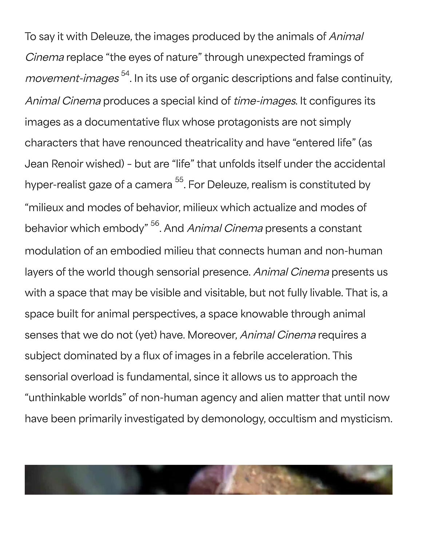To say it with Deleuze, the images produced by the animals of Animal Cinema replace "the eyes of nature" through unexpected framings of *movement-images* <sup>54</sup>. In its use of organic descriptions and false continuity, Animal Cinema produces a special kind of time-images. It configures its images as a documentative flux whose protagonists are not simply characters that have renounced theatricality and have "entered life" (as Jean Renoir wished) – but are "life" that unfolds itself under the accidental hyper-realist gaze of a camera <sup>55</sup>. For Deleuze, realism is constituted by "milieux and modes of behavior, milieux which actualize and modes of behavior which embody" <sup>56</sup>. And *Animal Cinema* presents a constant modulation of an embodied milieu that connects human and non-human layers of the world though sensorial presence. Animal Cinema presents us with a space that may be visible and visitable, but not fully livable. That is, a space built for animal perspectives, a space knowable through animal senses that we do not (yet) have. Moreover, *Animal Cinema* requires a subject dominated by a flux of images in a febrile acceleration. This sensorial overload is fundamental, since it allows us to approach the "unthinkable worlds" of non-human agency and alien matter that until now have been primarily investigated by demonology, occultism and mysticism.

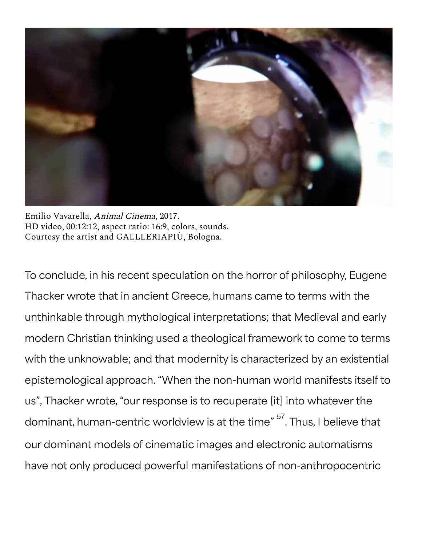

Emilio Vavarella, Animal Cinema, 2017. HD video, 00:12:12, aspect ratio: 16:9, colors, sounds. Courtesy the artist and GALLLERIAPIÙ, Bologna.

To conclude, in his recent speculation on the horror of philosophy, Eugene Thacker wrote that in ancient Greece, humans came to terms with the unthinkable through mythological interpretations; that Medieval and early modern Christian thinking used a theological framework to come to terms with the unknowable; and that modernity is characterized by an existential epistemological approach. "When the non-human world manifests itself to us", Thacker wrote, "our response is to recuperate [it] into whatever the dominant, human-centric worldview is at the time"  $\overset{57}{\cdot}$  . Thus, I believe that our dominant models of cinematic images and electronic automatisms have not only produced powerful manifestations of non-anthropocentric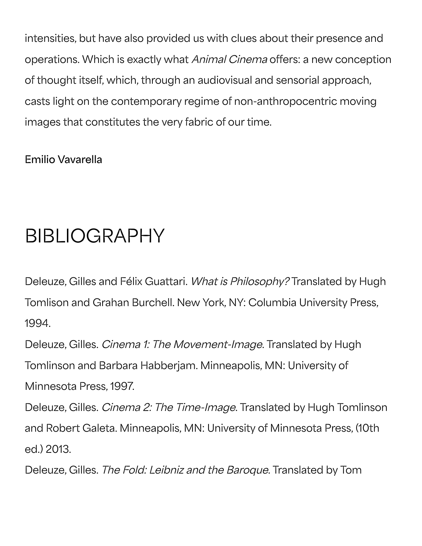intensities, but have also provided us with clues about their presence and operations. Which is exactly what Animal Cinema offers: a new conception of thought itself, which, through an audiovisual and sensorial approach, casts light on the contemporary regime of non-anthropocentric moving images that constitutes the very fabric of our time.

**Emilio Vavarella**

#### BIBLIOGRAPHY

Deleuze, Gilles and Félix Guattari. What is Philosophy? Translated by Hugh Tomlison and Grahan Burchell. New York, NY: Columbia University Press, 1994.

Deleuze, Gilles. *Cinema 1: The Movement-Image*. Translated by Hugh Tomlinson and Barbara Habberjam. Minneapolis, MN: University of Minnesota Press, 1997.

Deleuze, Gilles. *Cinema 2: The Time-Image*. Translated by Hugh Tomlinson and Robert Galeta. Minneapolis, MN: University of Minnesota Press, (10th ed.) 2013.

Deleuze, Gilles. The Fold: Leibniz and the Baroque. Translated by Tom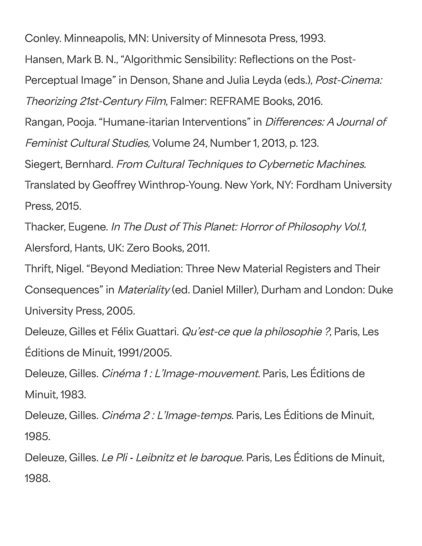Conley. Minneapolis, MN: University of Minnesota Press, 1993.

Hansen, Mark B. N., "Algorithmic Sensibility: Reflections on the Post-

Perceptual Image" in Denson, Shane and Julia Leyda (eds.), Post-Cinema:

Theorizing 21st-Century Film, Falmer: REFRAME Books, 2016.

Rangan, Pooja. "Humane-itarian Interventions" in Differences: A Journal of Feminist Cultural Studies, Volume 24, Number 1, 2013, p. 123.

Siegert, Bernhard. From Cultural Techniques to Cybernetic Machines.

Translated by Geoffrey Winthrop-Young. New York, NY: Fordham University Press, 2015.

Thacker, Eugene. In The Dust of This Planet: Horror of Philosophy Vol.1, Alersford, Hants, UK: Zero Books, 2011.

Thrift, Nigel. "Beyond Mediation: Three New Material Registers and Their Consequences" in Materiality (ed. Daniel Miller), Durham and London: Duke University Press, 2005.

Deleuze, Gilles et Félix Guattari. Qu'est-ce que la philosophie ?, Paris, Les Éditions de Minuit, 1991/2005.

Deleuze, Gilles. Cinéma 1 : L'Image-mouvement. Paris, Les Éditions de Minuit, 1983.

Deleuze, Gilles. Cinéma 2 : L'Image-temps. Paris, Les Éditions de Minuit, 1985.

Deleuze, Gilles. Le Pli - Leibnitz et le baroque. Paris, Les Éditions de Minuit, 1988.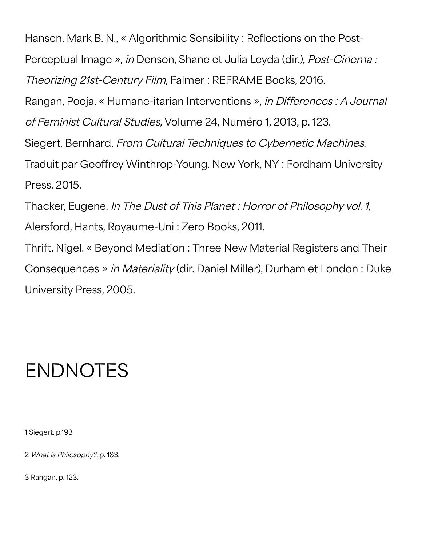Hansen, Mark B. N., « Algorithmic Sensibility : Reflections on the Post-Perceptual Image », in Denson, Shane et Julia Leyda (dir.), Post-Cinema : Theorizing 21st-Century Film, Falmer : REFRAME Books, 2016. Rangan, Pooja. « Humane-itarian Interventions », in Differences : A Journal of Feminist Cultural Studies, Volume 24, Numéro 1, 2013, p. 123. Siegert, Bernhard. From Cultural Techniques to Cybernetic Machines. Traduit par Geoffrey Winthrop-Young. New York, NY : Fordham University Press, 2015. Thacker, Eugene. In The Dust of This Planet : Horror of Philosophy vol. 1, Alersford, Hants, Royaume-Uni : Zero Books, 2011. Thrift, Nigel. « Beyond Mediation : Three New Material Registers and Their Consequences » in Materiality (dir. Daniel Miller), Durham et London : Duke University Press, 2005.

#### ENDNOTES

1 Siegert, p.193

2 What is Philosophy?, p. 183.

3 Rangan, p. 123.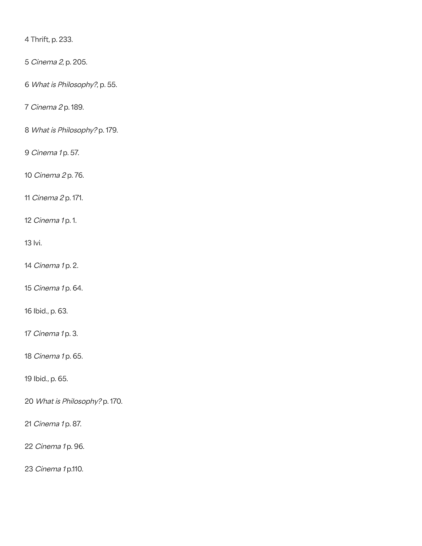4 Thrift, p. 233.

Cinema 2, p. 205.

What is Philosophy?, p. 55.

Cinema 2 p. 189.

What is Philosophy? p. 179.

*Cinema* 1p. 57.

Cinema 2 p. 76.

Cinema 2 p. 171.

*Cinema* 1 p. 1.

13 Ivi.

*Cinema 1* p. 2.

*Cinema 1* p. 64.

16 Ibid., p. 63.

*Cinema 1* p. 3.

*Cinema 1* p. 65.

19 Ibid., p. 65.

What is Philosophy? p. 170.

*Cinema 1* p. 87.

*Cinema 1* p. 96.

Cinema 1 p.110.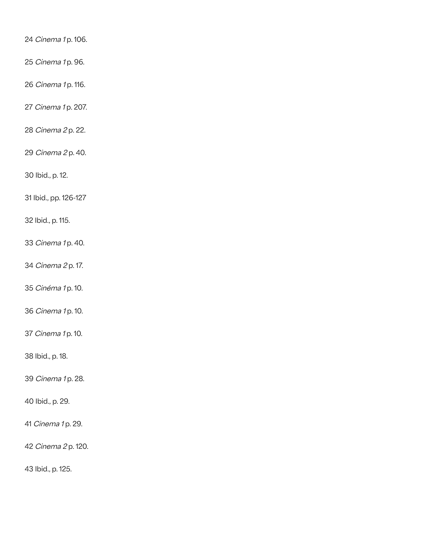*Cinema* 1p. 106.

Cinema 1 p. 96.

*Cinema* 1p. 116.

*Cinema 1* p. 207.

Cinema 2 p. 22.

Cinema 2 p. 40.

30 Ibid., p. 12.

31 Ibid., pp. 126-127

32 Ibid., p. 115.

*Cinema 1* p. 40.

Cinema 2 p. 17.

*Cinéma 1* p. 10.

*Cinema* 1 p. 10.

*Cinema* 1p. 10.

38 Ibid., p. 18.

*Cinema* 1p. 28.

40 Ibid., p. 29.

*Cinema 1* p. 29.

Cinema 2 p. 120.

43 Ibid., p. 125.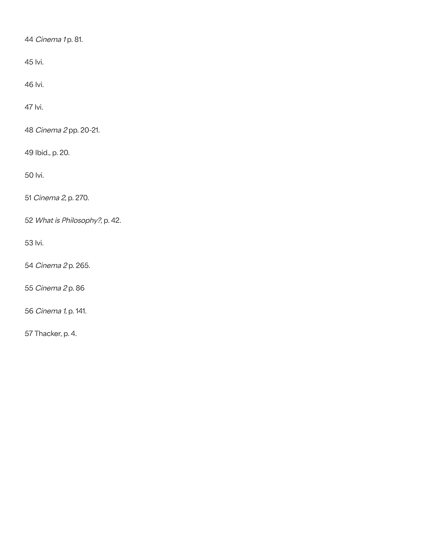44 *Cinema* 1 p. 81.

45 Ivi.

46 Ivi.

47 Ivi.

48 Cinema 2 pp. 20-21.

49 Ibid., p. 20.

50 Ivi.

51 Cinema 2, p. 270.

52 What is Philosophy?, p. 42.

53 Ivi.

54 Cinema 2 p. 265.

55 Cinema 2 p. 86

56 Cinema 1, p. 141.

57 Thacker, p. 4.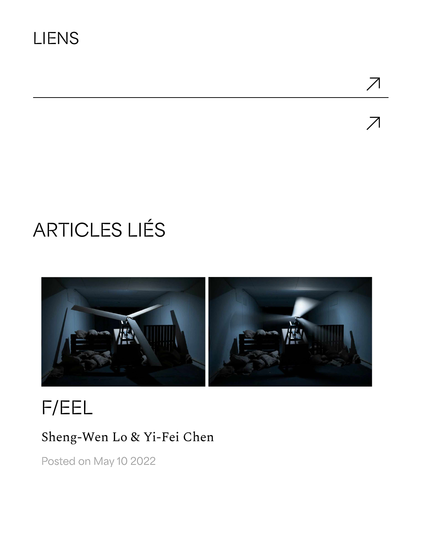$\overline{\mathcal{A}}$ 

## ARTICLES LIÉS



### F/EEL

#### Sheng-Wen Lo & Yi-Fei Chen

Posted on May 10 2022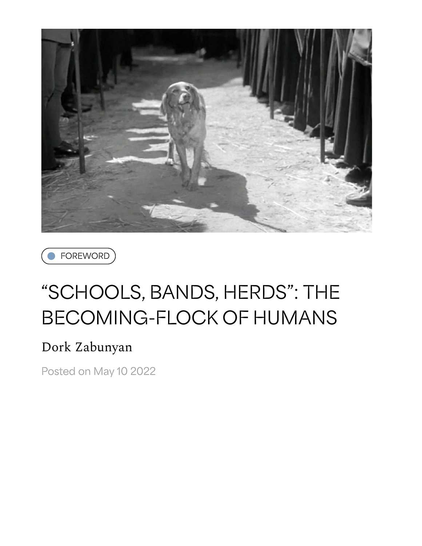



### "SCHOOLS, BANDS, HERDS": THE BECOMING-FLOCK OF HUMANS

#### Dork Zabunyan

Posted on May 10 2022